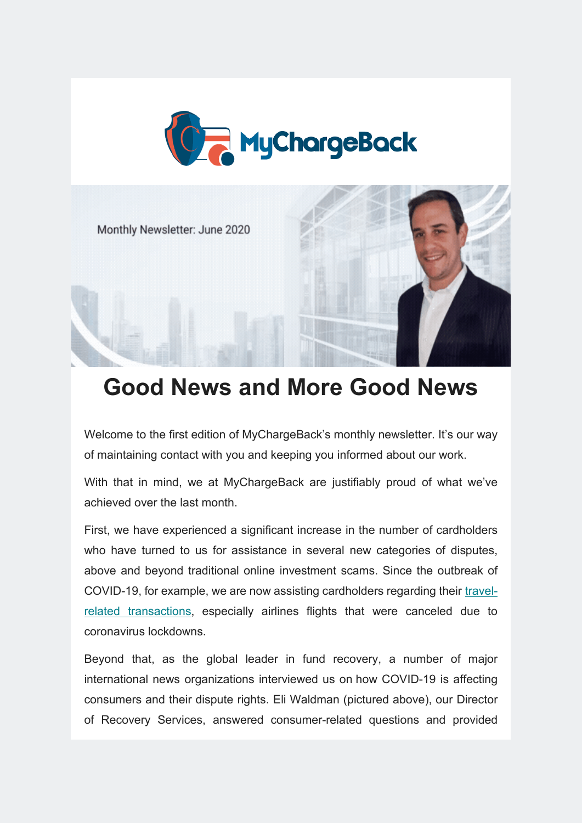



# **Good News and More Good News**

Welcome to the first edition of MyChargeBack's monthly newsletter. It's our way of maintaining contact with you and keeping you informed about our work.

With that in mind, we at MyChargeBack are justifiably proud of what we've achieved over the last month.

First, we have experienced a significant increase in the number of cardholders who have turned to us for assistance in several new categories of disputes, above and beyond traditional online investment scams. Since the outbreak of COVID-19, for example, we are now assisting cardholders regarding their [travel](https://mychargeback.com/widespread-scams/coronavirus-scams-payment-refunds/)[related transactions,](https://mychargeback.com/widespread-scams/coronavirus-scams-payment-refunds/) especially airlines flights that were canceled due to coronavirus lockdowns.

Beyond that, as the global leader in fund recovery, a number of major international news organizations interviewed us on how COVID-19 is affecting consumers and their dispute rights. Eli Waldman (pictured above), our Director of Recovery Services, answered consumer-related questions and provided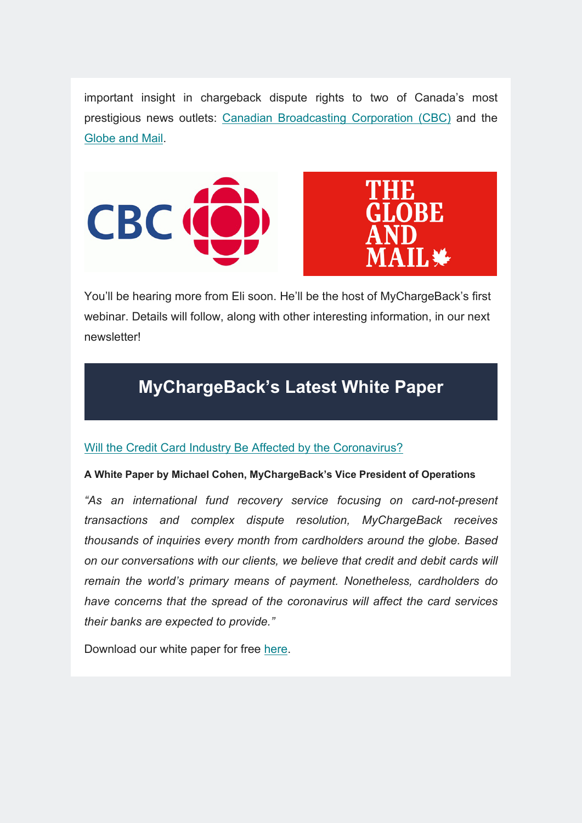important insight in chargeback dispute rights to two of Canada's most prestigious news outlets: [Canadian Broadcasting Corporation \(CBC\)](https://www.cbc.ca/news/business/credit-card-chargebacks-challenge-1.5577722) and the [Globe and Mail.](https://www.theglobeandmail.com/investing/personal-finance/household-finances/article-would-be-passengers-get-around-airline-refund-policies-via-credit-card/)





You'll be hearing more from Eli soon. He'll be the host of MyChargeBack's first webinar. Details will follow, along with other interesting information, in our next newsletter!

### **MyChargeBack's Latest White Paper**

### [Will the Credit Card Industry Be Affected by the Coronavirus?](https://mychargeback.com/whitepaper-coronavirus/)

#### **A White Paper by Michael Cohen, MyChargeBack's Vice President of Operations**

*"As an international fund recovery service focusing on card-not-present transactions and complex dispute resolution, MyChargeBack receives thousands of inquiries every month from cardholders around the globe. Based on our conversations with our clients, we believe that credit and debit cards will remain the world's primary means of payment. Nonetheless, cardholders do have concerns that the spread of the coronavirus will affect the card services their banks are expected to provide."*

Download our white paper for free [here.](https://mychargeback.com/whitepaper-coronavirus/)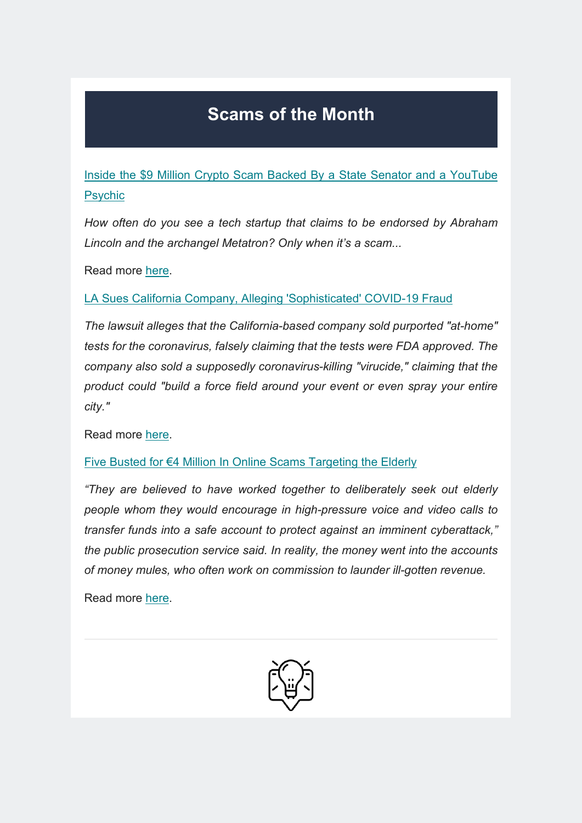## **Scams of the Month**

[Inside the \\$9 Million Crypto Scam Backed By a State Senator and a YouTube](https://www.yahoo.com/news/inside-9-million-crypto-scam-075232793.html)  [Psychic](https://www.yahoo.com/news/inside-9-million-crypto-scam-075232793.html)

*How often do you see a tech startup that claims to be endorsed by Abraham Lincoln and the archangel Metatron? Only when it's a scam...*

Read more [here.](https://www.yahoo.com/news/inside-9-million-crypto-scam-075232793.html)

[LA Sues California Company, Alleging 'Sophisticated' COVID-19 Fraud](https://www.npr.org/sections/coronavirus-live-updates/2020/05/27/863424977/la-sues-california-company-alleging-sophisticated-covid-19-fraud?fbclid=IwAR3nN27Iz7yVQ2JJFvUZTe4J2WJMk6RqFkO6WDnlqRh1jdmLr6LHdKEd5Yw)

*The lawsuit alleges that the California-based company sold purported "at-home" tests for the coronavirus, falsely claiming that the tests were FDA approved. The company also sold a supposedly coronavirus-killing "virucide," claiming that the product could "build a force field around your event or even spray your entire city."*

Read more [here.](https://www.npr.org/sections/coronavirus-live-updates/2020/05/27/863424977/la-sues-california-company-alleging-sophisticated-covid-19-fraud?fbclid=IwAR3nN27Iz7yVQ2JJFvUZTe4J2WJMk6RqFkO6WDnlqRh1jdmLr6LHdKEd5Yw)

[Five Busted for €4 Million In Online Scams Targeting the Elderly](https://nltimes.nl/2020/06/06/five-busted-eu4-million-online-scams-targeting-elderly?fbclid=IwAR0g5Cq1YWECniZ2bFv9hWNawOfJGuvL2UMpdTtfZQXmEGZOsfgWHr_4dQI)

*"They are believed to have worked together to deliberately seek out elderly people whom they would encourage in high-pressure voice and video calls to transfer funds into a safe account to protect against an imminent cyberattack," the public prosecution service said. In reality, the money went into the accounts of money mules, who often work on commission to launder ill-gotten revenue.*

Read more [here.](https://nltimes.nl/2020/06/06/five-busted-eu4-million-online-scams-targeting-elderly?fbclid=IwAR0g5Cq1YWECniZ2bFv9hWNawOfJGuvL2UMpdTtfZQXmEGZOsfgWHr_4dQI)